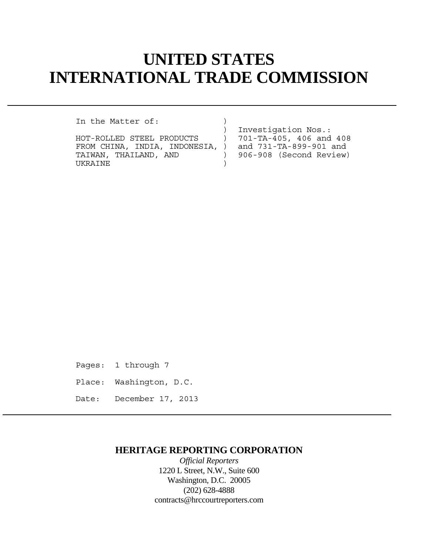# **UNITED STATES INTERNATIONAL TRADE COMMISSION**

In the Matter of:

HOT-ROLLED STEEL PRODUCTS ) 701-TA-405, 406 and 408 FROM CHINA, INDIA, INDONESIA, ) and 731-TA-899-901 and TAIWAN, THAILAND, AND ) 906-908 (Second Review) TAIWAN, THAILAND, AND (906-908 (Second Review) UKRAINE )

) Investigation Nos.:

Pages: 1 through 7

- Place: Washington, D.C.
- Date: December 17, 2013

## **HERITAGE REPORTING CORPORATION**

*Official Reporters* 1220 L Street, N.W., Suite 600 Washington, D.C. 20005 (202) 628-4888 contracts@hrccourtreporters.com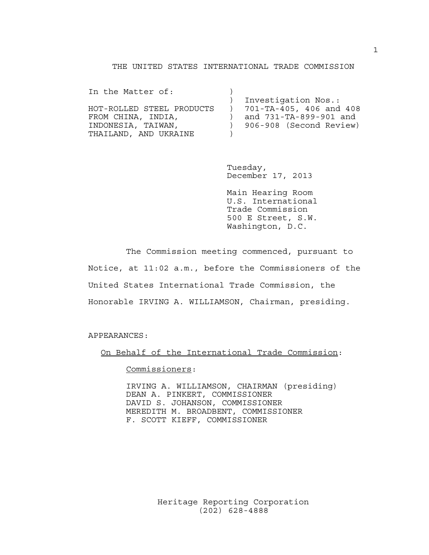### THE UNITED STATES INTERNATIONAL TRADE COMMISSION

| In the Matter of:         |                           |
|---------------------------|---------------------------|
|                           | Investigation Nos.:       |
| HOT-ROLLED STEEL PRODUCTS | ) 701-TA-405, 406 and 408 |
| FROM CHINA, INDIA,        | and 731-TA-899-901 and    |
| INDONESIA, TAIWAN,        | ) 906-908 (Second Review) |
| THAILAND, AND UKRAINE     |                           |

 Tuesday, December 17, 2013

 Main Hearing Room U.S. International Trade Commission 500 E Street, S.W. Washington, D.C.

 The Commission meeting commenced, pursuant to Notice, at 11:02 a.m., before the Commissioners of the United States International Trade Commission, the Honorable IRVING A. WILLIAMSON, Chairman, presiding.

APPEARANCES:

On Behalf of the International Trade Commission:

Commissioners:

 IRVING A. WILLIAMSON, CHAIRMAN (presiding) DEAN A. PINKERT, COMMISSIONER DAVID S. JOHANSON, COMMISSIONER MEREDITH M. BROADBENT, COMMISSIONER F. SCOTT KIEFF, COMMISSIONER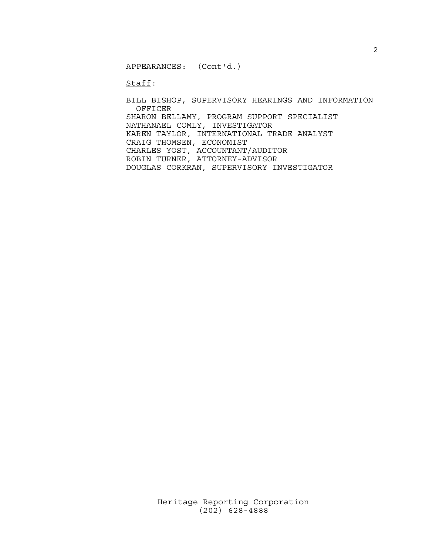APPEARANCES: (Cont'd.)

Staff:

 BILL BISHOP, SUPERVISORY HEARINGS AND INFORMATION OFFICER SHARON BELLAMY, PROGRAM SUPPORT SPECIALIST NATHANAEL COMLY, INVESTIGATOR KAREN TAYLOR, INTERNATIONAL TRADE ANALYST CRAIG THOMSEN, ECONOMIST CHARLES YOST, ACCOUNTANT/AUDITOR ROBIN TURNER, ATTORNEY-ADVISOR DOUGLAS CORKRAN, SUPERVISORY INVESTIGATOR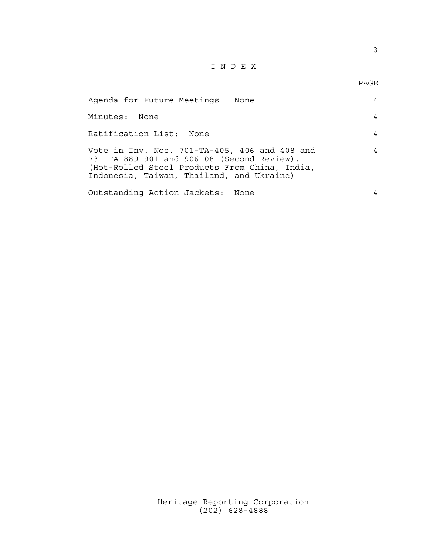## I N D E X

## en de la provincia de la provincia de la provincia de la provincia de la provincia de la provincia de la provi<br>Para la provincia de la provincia de la provincia de la provincia de la provincia de la provincia de la provin

| Agenda for Future Meetings: None                                                                                                                                                          |   |
|-------------------------------------------------------------------------------------------------------------------------------------------------------------------------------------------|---|
| Minutes: None                                                                                                                                                                             | 4 |
| Ratification List: None                                                                                                                                                                   |   |
| Vote in Inv. Nos. 701-TA-405, 406 and 408 and<br>731-TA-889-901 and 906-08 (Second Review),<br>(Hot-Rolled Steel Products From China, India,<br>Indonesia, Taiwan, Thailand, and Ukraine) |   |
| Outstanding Action Jackets: None                                                                                                                                                          |   |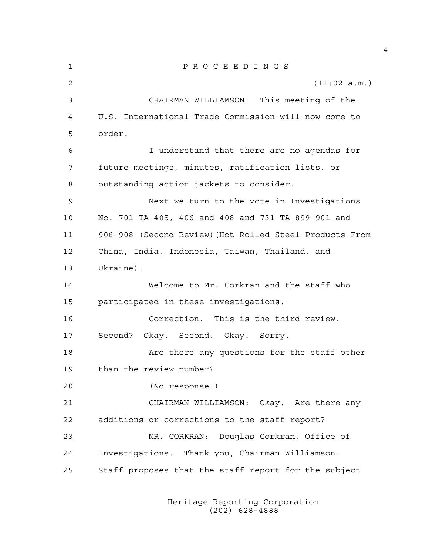1 P R O C E E D I N G S 2 (11:02 a.m.) 3 CHAIRMAN WILLIAMSON: This meeting of the 4 U.S. International Trade Commission will now come to 5 order. 6 I understand that there are no agendas for 7 future meetings, minutes, ratification lists, or 8 outstanding action jackets to consider. 9 Next we turn to the vote in Investigations 10 No. 701-TA-405, 406 and 408 and 731-TA-899-901 and 11 906-908 (Second Review)(Hot-Rolled Steel Products From 12 China, India, Indonesia, Taiwan, Thailand, and 13 Ukraine). 14 Welcome to Mr. Corkran and the staff who 15 participated in these investigations. 16 Correction. This is the third review. 17 Second? Okay. Second. Okay. Sorry. 18 Are there any questions for the staff other 19 than the review number? 20 (No response.) 21 CHAIRMAN WILLIAMSON: Okay. Are there any 22 additions or corrections to the staff report? 23 MR. CORKRAN: Douglas Corkran, Office of 24 Investigations. Thank you, Chairman Williamson. 25 Staff proposes that the staff report for the subject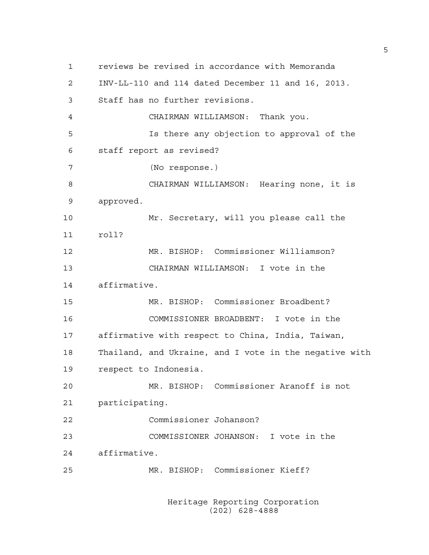1 reviews be revised in accordance with Memoranda 2 INV-LL-110 and 114 dated December 11 and 16, 2013. 3 Staff has no further revisions. 4 CHAIRMAN WILLIAMSON: Thank you. 5 Is there any objection to approval of the 6 staff report as revised? 7 (No response.) 8 CHAIRMAN WILLIAMSON: Hearing none, it is 9 approved. 10 Mr. Secretary, will you please call the 11 roll? 12 MR. BISHOP: Commissioner Williamson? 13 CHAIRMAN WILLIAMSON: I vote in the 14 affirmative. 15 MR. BISHOP: Commissioner Broadbent? 16 COMMISSIONER BROADBENT: I vote in the 17 affirmative with respect to China, India, Taiwan, 18 Thailand, and Ukraine, and I vote in the negative with 19 respect to Indonesia. 20 MR. BISHOP: Commissioner Aranoff is not 21 participating. 22 Commissioner Johanson? 23 COMMISSIONER JOHANSON: I vote in the 24 affirmative. 25 MR. BISHOP: Commissioner Kieff?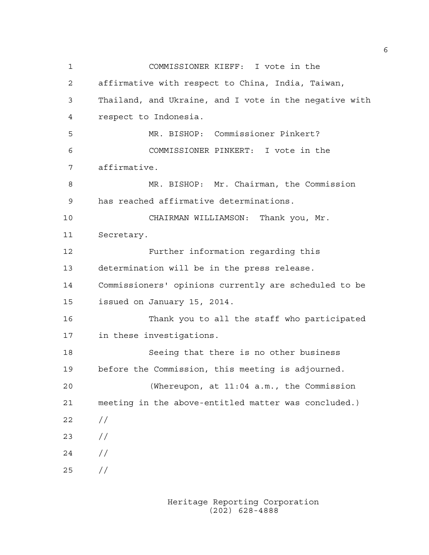1 COMMISSIONER KIEFF: I vote in the 2 affirmative with respect to China, India, Taiwan, 3 Thailand, and Ukraine, and I vote in the negative with 4 respect to Indonesia. 5 MR. BISHOP: Commissioner Pinkert? 6 COMMISSIONER PINKERT: I vote in the 7 affirmative. 8 MR. BISHOP: Mr. Chairman, the Commission 9 has reached affirmative determinations. 10 CHAIRMAN WILLIAMSON: Thank you, Mr. 11 Secretary. 12 Further information regarding this 13 determination will be in the press release. 14 Commissioners' opinions currently are scheduled to be 15 issued on January 15, 2014. 16 Thank you to all the staff who participated 17 in these investigations. 18 Seeing that there is no other business 19 before the Commission, this meeting is adjourned. 20 (Whereupon, at 11:04 a.m., the Commission 21 meeting in the above-entitled matter was concluded.) 22 // 23 //  $24 /$ 25 //

> Heritage Reporting Corporation (202) 628-4888

6